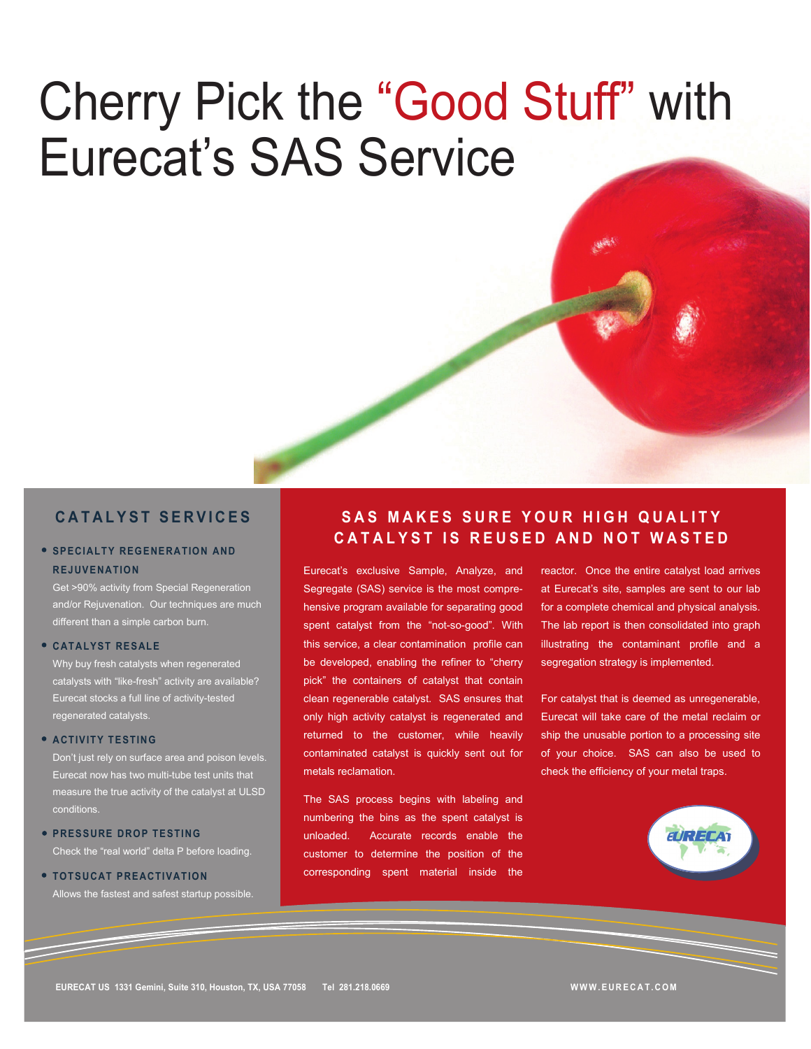# Cherry Pick the "Good Stuff" with Eurecat's SAS Service

### **C A T A L Y S T S E R V I C E S**

#### **SPECIALTY REGENERATION AND REJUVENATION**

Get >90% activity from Special Regeneration and/or Rejuvenation. Our techniques are much different than a simple carbon burn.

#### **CATALYST RESALE**

Why buy fresh catalysts when regenerated catalysts with "like-fresh" activity are available? Eurecat stocks a full line of activity-tested regenerated catalysts.

#### **• ACTIVITY TESTING**

Don't just rely on surface area and poison levels. Eurecat now has two multi-tube test units that measure the true activity of the catalyst at ULSD conditions.

# *PRESSURE DROP TESTING*

Check the "real world" delta P before loading.

#### **• TOTSUCAT PREACTIVATION** Allows the fastest and safest startup possible.

## **SAS MAKES SURE YOUR HIGH QUALITY CATALYST IS REUSED AND NOT WASTED**

Eurecat's exclusive Sample, Analyze, and Segregate (SAS) service is the most comprehensive program available for separating good spent catalyst from the "not-so-good". With this service, a clear contamination profile can be developed, enabling the refiner to "cherry pick" the containers of catalyst that contain clean regenerable catalyst. SAS ensures that only high activity catalyst is regenerated and returned to the customer, while heavily contaminated catalyst is quickly sent out for metals reclamation.

The SAS process begins with labeling and numbering the bins as the spent catalyst is unloaded. Accurate records enable the customer to determine the position of the corresponding spent material inside the reactor. Once the entire catalyst load arrives at Eurecat's site, samples are sent to our lab for a complete chemical and physical analysis. The lab report is then consolidated into graph illustrating the contaminant profile and a segregation strategy is implemented.

For catalyst that is deemed as unregenerable, Eurecat will take care of the metal reclaim or ship the unusable portion to a processing site of your choice. SAS can also be used to check the efficiency of your metal traps.



**W W W . E U R E C A T . C O M**